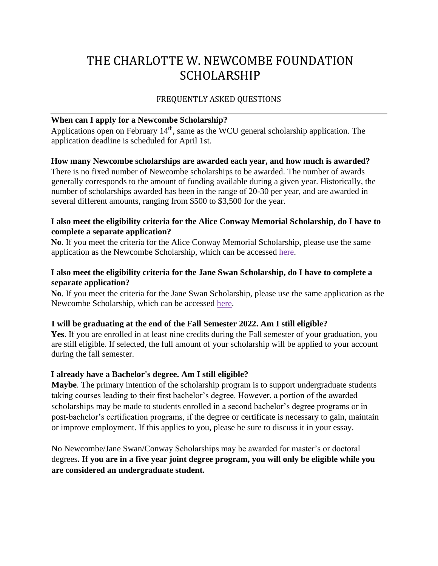# THE CHARLOTTE W. NEWCOMBE FOUNDATION SCHOLARSHIP

# FREQUENTLY ASKED QUESTIONS

## **When can I apply for a Newcombe Scholarship?**

Applications open on February  $14<sup>th</sup>$ , same as the WCU general scholarship application. The application deadline is scheduled for April 1st.

## **How many Newcombe scholarships are awarded each year, and how much is awarded?**

There is no fixed number of Newcombe scholarships to be awarded. The number of awards generally corresponds to the amount of funding available during a given year. Historically, the number of scholarships awarded has been in the range of 20-30 per year, and are awarded in several different amounts, ranging from \$500 to \$3,500 for the year.

# **I also meet the eligibility criteria for the Alice Conway Memorial Scholarship, do I have to complete a separate application?**

**No**. If you meet the criteria for the Alice Conway Memorial Scholarship, please use the same application as the Newcombe Scholarship, which can be accessed [here.](http://bit.ly/31wTeHw)

# **I also meet the eligibility criteria for the Jane Swan Scholarship, do I have to complete a separate application?**

**No**. If you meet the criteria for the Jane Swan Scholarship, please use the same application as the Newcombe Scholarship, which can be accessed [here.](http://bit.ly/31wTeHw)

# **I will be graduating at the end of the Fall Semester 2022. Am I still eligible?**

**Yes**. If you are enrolled in at least nine credits during the Fall semester of your graduation, you are still eligible. If selected, the full amount of your scholarship will be applied to your account during the fall semester.

# **I already have a Bachelor's degree. Am I still eligible?**

**Maybe**. The primary intention of the scholarship program is to support undergraduate students taking courses leading to their first bachelor's degree. However, a portion of the awarded scholarships may be made to students enrolled in a second bachelor's degree programs or in post-bachelor's certification programs, if the degree or certificate is necessary to gain, maintain or improve employment. If this applies to you, please be sure to discuss it in your essay.

No Newcombe/Jane Swan/Conway Scholarships may be awarded for master's or doctoral degrees**. If you are in a five year joint degree program, you will only be eligible while you are considered an undergraduate student.**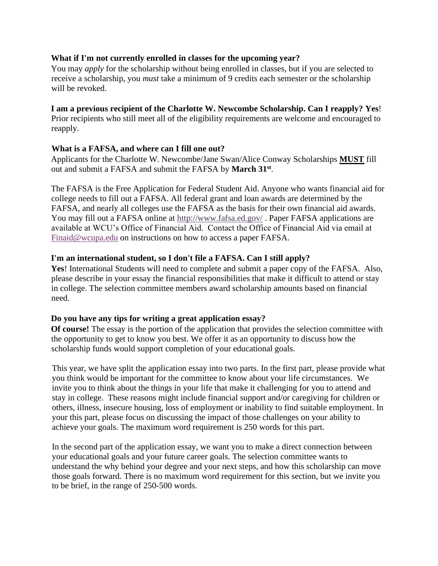## **What if I'm not currently enrolled in classes for the upcoming year?**

You may *apply* for the scholarship without being enrolled in classes, but if you are selected to receive a scholarship, you *must* take a minimum of 9 credits each semester or the scholarship will be revoked.

## **I am a previous recipient of the Charlotte W. Newcombe Scholarship. Can I reapply? Yes**!

Prior recipients who still meet all of the eligibility requirements are welcome and encouraged to reapply.

## **What is a FAFSA, and where can I fill one out?**

Applicants for the Charlotte W. Newcombe/Jane Swan/Alice Conway Scholarships **MUST** fill out and submit a FAFSA and submit the FAFSA by **March 31st** .

The FAFSA is the Free Application for Federal Student Aid. Anyone who wants financial aid for college needs to fill out a FAFSA. All federal grant and loan awards are determined by the FAFSA, and nearly all colleges use the FAFSA as the basis for their own financial aid awards. You may fill ou[t](http://www.fafsa.ed.gov/) a FAFSA online at <http://www.fafsa.ed.gov/>[.](http://www.fafsa.ed.gov/) Paper FAFSA applications are available at WCU's Office of Financial Aid. Contact the Office of Financial Aid via email at [Finaid@wcupa.edu](mailto:Finaid@wcupa.edu) on instructions on how to access a paper FAFSA.

## **I'm an international student, so I don't file a FAFSA. Can I still apply?**

**Yes**! International Students will need to complete and submit a paper copy of the FAFSA. Also, please describe in your essay the financial responsibilities that make it difficult to attend or stay in college. The selection committee members award scholarship amounts based on financial need.

#### **Do you have any tips for writing a great application essay?**

**Of course!** The essay is the portion of the application that provides the selection committee with the opportunity to get to know you best. We offer it as an opportunity to discuss how the scholarship funds would support completion of your educational goals.

This year, we have split the application essay into two parts. In the first part, please provide what you think would be important for the committee to know about your life circumstances. We invite you to think about the things in your life that make it challenging for you to attend and stay in college. These reasons might include financial support and/or caregiving for children or others, illness, insecure housing, loss of employment or inability to find suitable employment. In your this part, please focus on discussing the impact of those challenges on your ability to achieve your goals. The maximum word requirement is 250 words for this part.

In the second part of the application essay, we want you to make a direct connection between your educational goals and your future career goals. The selection committee wants to understand the why behind your degree and your next steps, and how this scholarship can move those goals forward. There is no maximum word requirement for this section, but we invite you to be brief, in the range of 250-500 words.